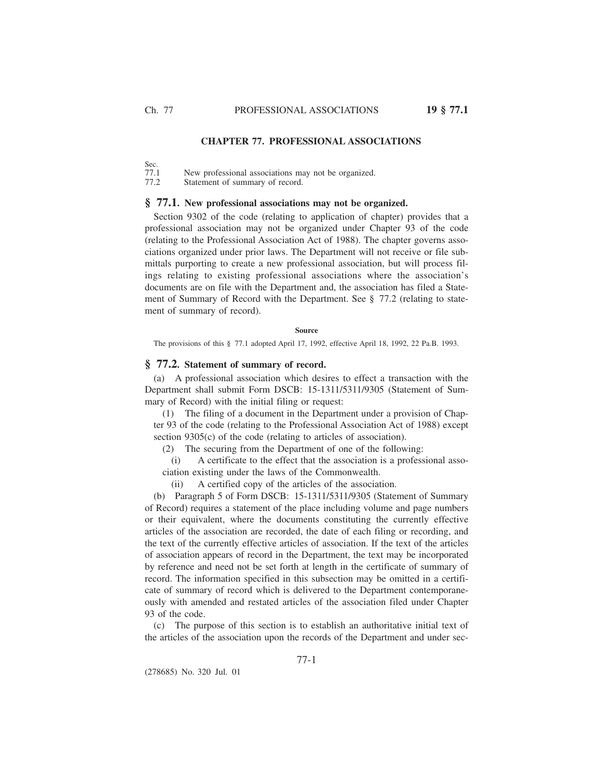# **CHAPTER 77. PROFESSIONAL ASSOCIATIONS**

Sec.<br>77.1 New professional associations may not be organized. 77.2 Statement of summary of record.

#### **§ 77.1. New professional associations may not be organized.**

Section 9302 of the code (relating to application of chapter) provides that a professional association may not be organized under Chapter 93 of the code (relating to the Professional Association Act of 1988). The chapter governs associations organized under prior laws. The Department will not receive or file submittals purporting to create a new professional association, but will process filings relating to existing professional associations where the association's documents are on file with the Department and, the association has filed a Statement of Summary of Record with the Department. See § 77.2 (relating to statement of summary of record).

#### **Source**

The provisions of this § 77.1 adopted April 17, 1992, effective April 18, 1992, 22 Pa.B. 1993.

## **§ 77.2. Statement of summary of record.**

(a) A professional association which desires to effect a transaction with the Department shall submit Form DSCB: 15-1311/5311/9305 (Statement of Summary of Record) with the initial filing or request:

(1) The filing of a document in the Department under a provision of Chapter 93 of the code (relating to the Professional Association Act of 1988) except section 9305(c) of the code (relating to articles of association).

(2) The securing from the Department of one of the following:

(i) A certificate to the effect that the association is a professional association existing under the laws of the Commonwealth.

(ii) A certified copy of the articles of the association.

(b) Paragraph 5 of Form DSCB: 15-1311/5311/9305 (Statement of Summary of Record) requires a statement of the place including volume and page numbers or their equivalent, where the documents constituting the currently effective articles of the association are recorded, the date of each filing or recording, and the text of the currently effective articles of association. If the text of the articles of association appears of record in the Department, the text may be incorporated by reference and need not be set forth at length in the certificate of summary of record. The information specified in this subsection may be omitted in a certificate of summary of record which is delivered to the Department contemporaneously with amended and restated articles of the association filed under Chapter 93 of the code.

(c) The purpose of this section is to establish an authoritative initial text of the articles of the association upon the records of the Department and under sec-

(278685) No. 320 Jul. 01